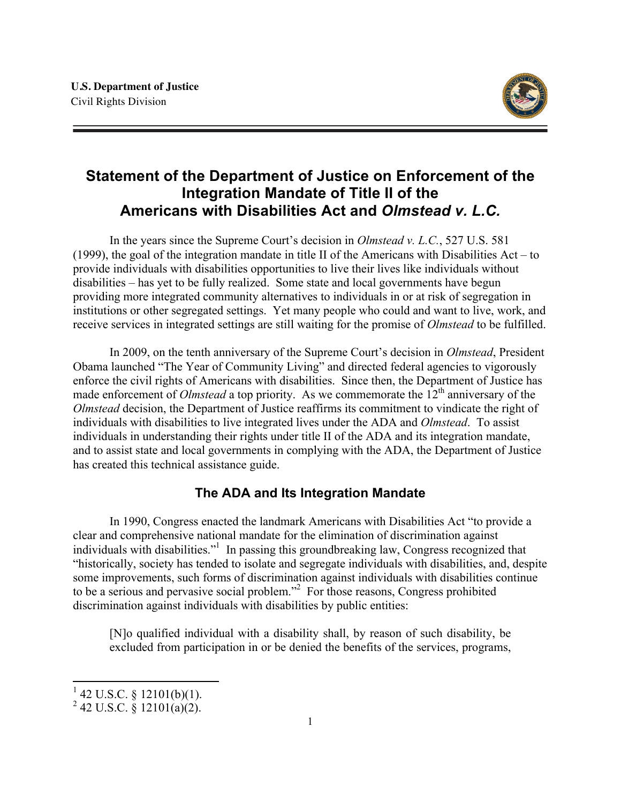

# **Statement of the Department of Justice on Enforcement of the Integration Mandate of Title II of the Americans with Disabilities Act and** *Olmstead v. L.C.*

In the years since the Supreme Court's decision in *Olmstead v. L.C.*, 527 U.S. 581 (1999), the goal of the integration mandate in title II of the Americans with Disabilities Act – to provide individuals with disabilities opportunities to live their lives like individuals without disabilities – has yet to be fully realized. Some state and local governments have begun providing more integrated community alternatives to individuals in or at risk of segregation in institutions or other segregated settings. Yet many people who could and want to live, work, and receive services in integrated settings are still waiting for the promise of *Olmstead* to be fulfilled.

In 2009, on the tenth anniversary of the Supreme Court's decision in *Olmstead*, President Obama launched "The Year of Community Living" and directed federal agencies to vigorously enforce the civil rights of Americans with disabilities. Since then, the Department of Justice has made enforcement of *Olmstead* a top priority. As we commemorate the 12<sup>th</sup> anniversary of the *Olmstead* decision, the Department of Justice reaffirms its commitment to vindicate the right of individuals with disabilities to live integrated lives under the ADA and *Olmstead*. To assist individuals in understanding their rights under title II of the ADA and its integration mandate, and to assist state and local governments in complying with the ADA, the Department of Justice has created this technical assistance guide.

# **The ADA and Its Integration Mandate**

In 1990, Congress enacted the landmark Americans with Disabilities Act "to provide a clear and comprehensive national mandate for the elimination of discrimination against individuals with disabilities."<sup>1</sup> In passing this groundbreaking law, Congress recognized that "historically, society has tended to isolate and segregate individuals with disabilities, and, despite some improvements, such forms of discrimination against individuals with disabilities continue to be a serious and pervasive social problem."<sup>2</sup> For those reasons, Congress prohibited discrimination against individuals with disabilities by public entities:

[N]o qualified individual with a disability shall, by reason of such disability, be excluded from participation in or be denied the benefits of the services, programs,

 $1$  42 U.S.C. § 12101(b)(1).

 $^{2}$  42 U.S.C. § 12101(a)(2).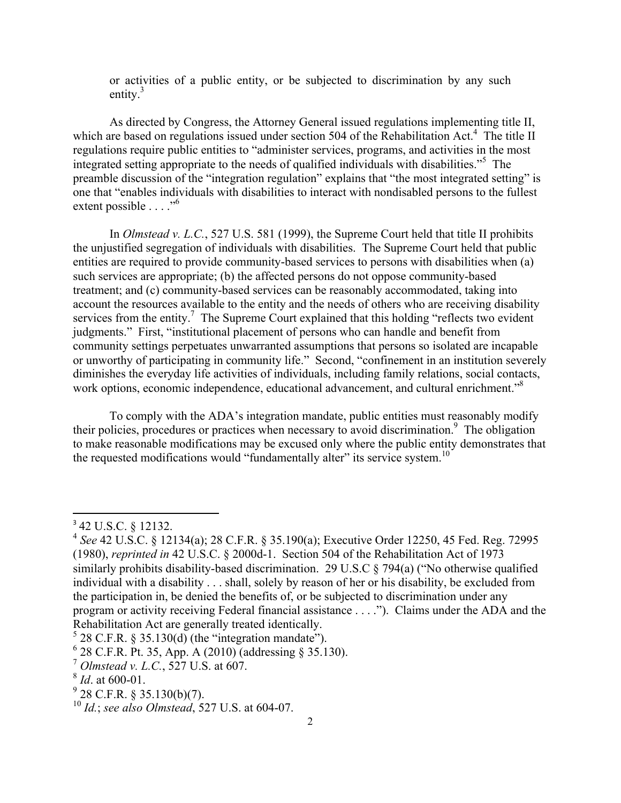or activities of a public entity, or be subjected to discrimination by any such entity. $3$ 

As directed by Congress, the Attorney General issued regulations implementing title II, which are based on regulations issued under section 504 of the Rehabilitation Act.<sup>4</sup> The title II regulations require public entities to "administer services, programs, and activities in the most integrated setting appropriate to the needs of qualified individuals with disabilities."<sup>5</sup> The preamble discussion of the "integration regulation" explains that "the most integrated setting" is one that "enables individuals with disabilities to interact with nondisabled persons to the fullest extent possible . . . ."<sup>6</sup>

In *Olmstead v. L.C.*, 527 U.S. 581 (1999), the Supreme Court held that title II prohibits the unjustified segregation of individuals with disabilities. The Supreme Court held that public entities are required to provide community-based services to persons with disabilities when (a) such services are appropriate; (b) the affected persons do not oppose community-based treatment; and (c) community-based services can be reasonably accommodated, taking into account the resources available to the entity and the needs of others who are receiving disability services from the entity.<sup>7</sup> The Supreme Court explained that this holding "reflects two evident" judgments." First, "institutional placement of persons who can handle and benefit from community settings perpetuates unwarranted assumptions that persons so isolated are incapable or unworthy of participating in community life." Second, "confinement in an institution severely diminishes the everyday life activities of individuals, including family relations, social contacts, work options, economic independence, educational advancement, and cultural enrichment."<sup>8</sup>

To comply with the ADA's integration mandate, public entities must reasonably modify their policies, procedures or practices when necessary to avoid discrimination.<sup>9</sup> The obligation to make reasonable modifications may be excused only where the public entity demonstrates that the requested modifications would "fundamentally alter" its service system.<sup>10</sup>

<u> 1989 - Johann Stein, fransk politik (d. 1989)</u>

<sup>3</sup> 42 U.S.C. § 12132.

<sup>4</sup> *See* 42 U.S.C. § 12134(a); 28 C.F.R. § 35.190(a); Executive Order 12250, 45 Fed. Reg. 72995 (1980), *reprinted in* 42 U.S.C. § 2000d-1. Section 504 of the Rehabilitation Act of 1973 similarly prohibits disability-based discrimination. 29 U.S.C § 794(a) ("No otherwise qualified individual with a disability . . . shall, solely by reason of her or his disability, be excluded from the participation in, be denied the benefits of, or be subjected to discrimination under any program or activity receiving Federal financial assistance . . . ."). Claims under the ADA and the Rehabilitation Act are generally treated identically.<br>
<sup>5</sup> 28 C.F.R. § 35.130(d) (the "integration mandate").<br>
<sup>6</sup> 28 C.F.R. Pt. 35, App. A (2010) (addressing § 35.130).

<sup>7</sup> *Olmstead v. L.C.*, 527 U.S. at 607.

<sup>8</sup> *Id*. at 600-01.

 $9\overline{28}$  C.F.R. § 35.130(b)(7).

<sup>10</sup> *Id.*; *see also Olmstead*, 527 U.S. at 604-07.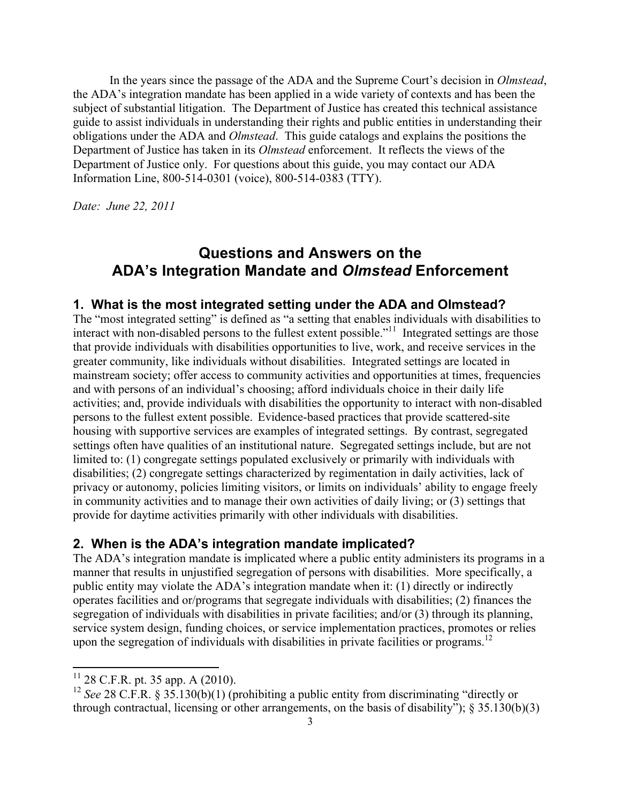In the years since the passage of the ADA and the Supreme Court's decision in *Olmstead*, the ADA's integration mandate has been applied in a wide variety of contexts and has been the subject of substantial litigation. The Department of Justice has created this technical assistance guide to assist individuals in understanding their rights and public entities in understanding their obligations under the ADA and *Olmstead*. This guide catalogs and explains the positions the Department of Justice has taken in its *Olmstead* enforcement. It reflects the views of the Department of Justice only. For questions about this guide, you may contact our ADA Information Line, 800-514-0301 (voice), 800-514-0383 (TTY).

*Date: June 22, 2011* 

# **Questions and Answers on the ADA's Integration Mandate and** *Olmstead* **Enforcement**

#### **1. What is the most integrated setting under the ADA and Olmstead?**

The "most integrated setting" is defined as "a setting that enables individuals with disabilities to interact with non-disabled persons to the fullest extent possible."<sup>11</sup> Integrated settings are those that provide individuals with disabilities opportunities to live, work, and receive services in the greater community, like individuals without disabilities. Integrated settings are located in mainstream society; offer access to community activities and opportunities at times, frequencies and with persons of an individual's choosing; afford individuals choice in their daily life activities; and, provide individuals with disabilities the opportunity to interact with non-disabled persons to the fullest extent possible. Evidence-based practices that provide scattered-site housing with supportive services are examples of integrated settings. By contrast, segregated settings often have qualities of an institutional nature. Segregated settings include, but are not limited to: (1) congregate settings populated exclusively or primarily with individuals with disabilities; (2) congregate settings characterized by regimentation in daily activities, lack of privacy or autonomy, policies limiting visitors, or limits on individuals' ability to engage freely in community activities and to manage their own activities of daily living; or (3) settings that provide for daytime activities primarily with other individuals with disabilities.

#### **2. When is the ADA's integration mandate implicated?**

The ADA's integration mandate is implicated where a public entity administers its programs in a manner that results in unjustified segregation of persons with disabilities. More specifically, a public entity may violate the ADA's integration mandate when it: (1) directly or indirectly operates facilities and or/programs that segregate individuals with disabilities; (2) finances the segregation of individuals with disabilities in private facilities; and/or (3) through its planning, service system design, funding choices, or service implementation practices, promotes or relies upon the segregation of individuals with disabilities in private facilities or programs.<sup>12</sup>

 $11$  28 C.F.R. pt. 35 app. A (2010).

<sup>&</sup>lt;sup>12</sup> *See* 28 C.F.R. § 35.130(b)(1) (prohibiting a public entity from discriminating "directly or through contractual, licensing or other arrangements, on the basis of disability");  $\S$  35.130(b)(3)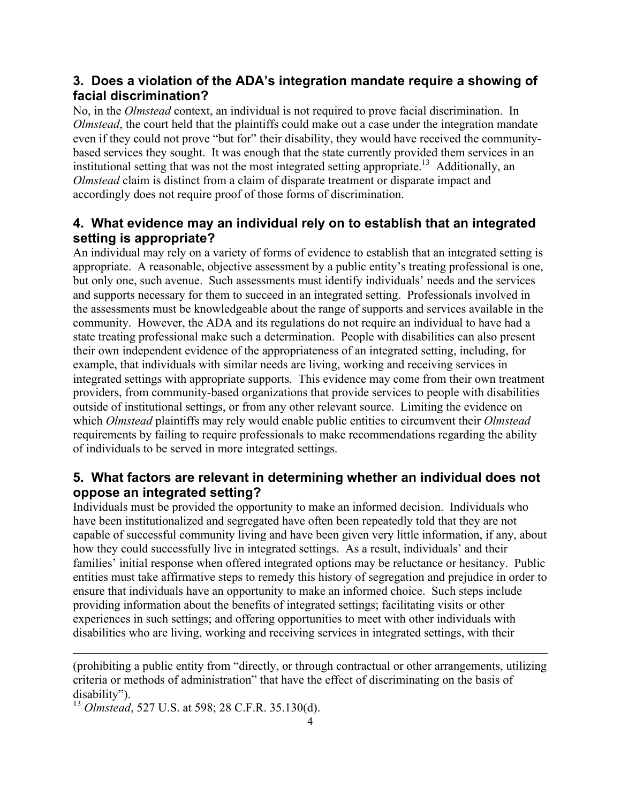# **3. Does a violation of the ADA's integration mandate require a showing of facial discrimination?**

No, in the *Olmstead* context, an individual is not required to prove facial discrimination. In *Olmstead*, the court held that the plaintiffs could make out a case under the integration mandate even if they could not prove "but for" their disability, they would have received the communitybased services they sought. It was enough that the state currently provided them services in an institutional setting that was not the most integrated setting appropriate.<sup>13</sup> Additionally, an *Olmstead* claim is distinct from a claim of disparate treatment or disparate impact and accordingly does not require proof of those forms of discrimination.

# **4. What evidence may an individual rely on to establish that an integrated setting is appropriate?**

An individual may rely on a variety of forms of evidence to establish that an integrated setting is appropriate. A reasonable, objective assessment by a public entity's treating professional is one, but only one, such avenue. Such assessments must identify individuals' needs and the services and supports necessary for them to succeed in an integrated setting. Professionals involved in the assessments must be knowledgeable about the range of supports and services available in the community. However, the ADA and its regulations do not require an individual to have had a state treating professional make such a determination. People with disabilities can also present their own independent evidence of the appropriateness of an integrated setting, including, for example, that individuals with similar needs are living, working and receiving services in integrated settings with appropriate supports. This evidence may come from their own treatment providers, from community-based organizations that provide services to people with disabilities outside of institutional settings, or from any other relevant source. Limiting the evidence on which *Olmstead* plaintiffs may rely would enable public entities to circumvent their *Olmstead* requirements by failing to require professionals to make recommendations regarding the ability of individuals to be served in more integrated settings.

# **5. What factors are relevant in determining whether an individual does not oppose an integrated setting?**

Individuals must be provided the opportunity to make an informed decision. Individuals who have been institutionalized and segregated have often been repeatedly told that they are not capable of successful community living and have been given very little information, if any, about how they could successfully live in integrated settings. As a result, individuals' and their families' initial response when offered integrated options may be reluctance or hesitancy. Public entities must take affirmative steps to remedy this history of segregation and prejudice in order to ensure that individuals have an opportunity to make an informed choice. Such steps include providing information about the benefits of integrated settings; facilitating visits or other experiences in such settings; and offering opportunities to meet with other individuals with disabilities who are living, working and receiving services in integrated settings, with their

(prohibiting a public entity from "directly, or through contractual or other arrangements, utilizing criteria or methods of administration" that have the effect of discriminating on the basis of disability"). <sup>13</sup> *Olmstead*, 527 U.S. at 598; 28 C.F.R. 35.130(d).

<u> 1989 - Andrea Santa Andrea Andrea Andrea Andrea Andrea Andrea Andrea Andrea Andrea Andrea Andrea Andrea Andr</u>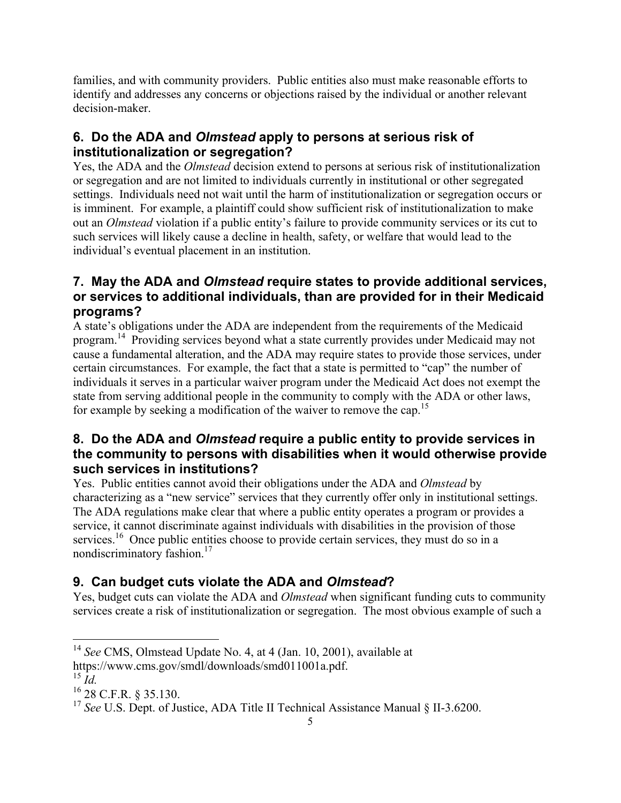families, and with community providers. Public entities also must make reasonable efforts to identify and addresses any concerns or objections raised by the individual or another relevant decision-maker.

# **6. Do the ADA and** *Olmstead* **apply to persons at serious risk of institutionalization or segregation?**

Yes, the ADA and the *Olmstead* decision extend to persons at serious risk of institutionalization or segregation and are not limited to individuals currently in institutional or other segregated settings. Individuals need not wait until the harm of institutionalization or segregation occurs or is imminent. For example, a plaintiff could show sufficient risk of institutionalization to make out an *Olmstead* violation if a public entity's failure to provide community services or its cut to such services will likely cause a decline in health, safety, or welfare that would lead to the individual's eventual placement in an institution.

# **7. May the ADA and** *Olmstead* **require states to provide additional services, or services to additional individuals, than are provided for in their Medicaid programs?**

A state's obligations under the ADA are independent from the requirements of the Medicaid program.<sup>14</sup> Providing services beyond what a state currently provides under Medicaid may not cause a fundamental alteration, and the ADA may require states to provide those services, under certain circumstances. For example, the fact that a state is permitted to "cap" the number of individuals it serves in a particular waiver program under the Medicaid Act does not exempt the state from serving additional people in the community to comply with the ADA or other laws, for example by seeking a modification of the waiver to remove the cap.<sup>15</sup>

# **8. Do the ADA and** *Olmstead* **require a public entity to provide services in the community to persons with disabilities when it would otherwise provide such services in institutions?**

Yes. Public entities cannot avoid their obligations under the ADA and *Olmstead* by characterizing as a "new service" services that they currently offer only in institutional settings. The ADA regulations make clear that where a public entity operates a program or provides a service, it cannot discriminate against individuals with disabilities in the provision of those services.<sup>16</sup> Once public entities choose to provide certain services, they must do so in a nondiscriminatory fashion.<sup>17</sup>

# **9. Can budget cuts violate the ADA and** *Olmstead***?**

Yes, budget cuts can violate the ADA and *Olmstead* when significant funding cuts to community services create a risk of institutionalization or segregation. The most obvious example of such a

 <sup>14</sup> *See* CMS, Olmstead Update No. 4, at 4 (Jan. 10, 2001), available at

https://www.cms.gov/smdl/downloads/smd011001a.pdf. <sup>15</sup> *Id.*

<sup>16</sup> 28 C.F.R. § 35.130.

<sup>&</sup>lt;sup>17</sup> See U.S. Dept. of Justice, ADA Title II Technical Assistance Manual § II-3.6200.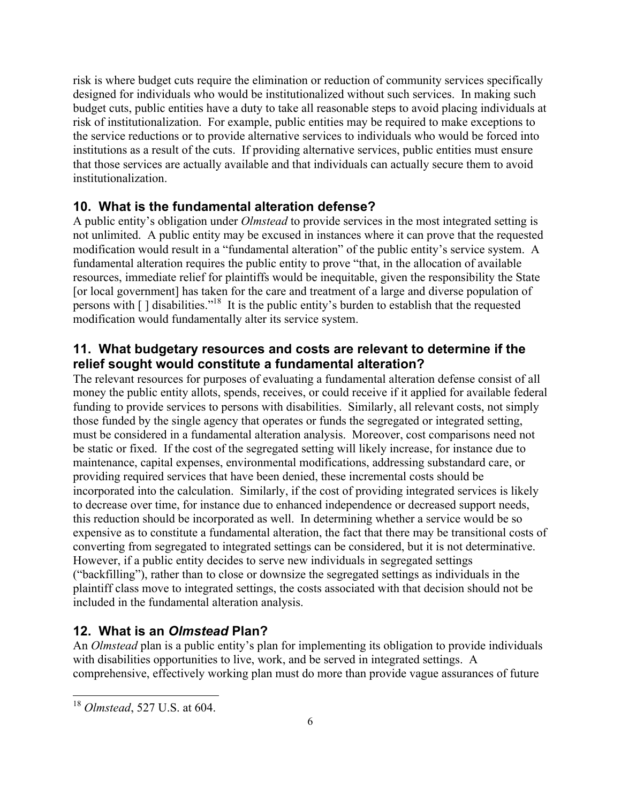risk is where budget cuts require the elimination or reduction of community services specifically designed for individuals who would be institutionalized without such services. In making such budget cuts, public entities have a duty to take all reasonable steps to avoid placing individuals at risk of institutionalization. For example, public entities may be required to make exceptions to the service reductions or to provide alternative services to individuals who would be forced into institutions as a result of the cuts. If providing alternative services, public entities must ensure that those services are actually available and that individuals can actually secure them to avoid institutionalization.

### **10. What is the fundamental alteration defense?**

A public entity's obligation under *Olmstead* to provide services in the most integrated setting is not unlimited. A public entity may be excused in instances where it can prove that the requested modification would result in a "fundamental alteration" of the public entity's service system. A fundamental alteration requires the public entity to prove "that, in the allocation of available resources, immediate relief for plaintiffs would be inequitable, given the responsibility the State [or local government] has taken for the care and treatment of a large and diverse population of persons with  $\lceil \cdot \rceil$  disabilities."<sup>18</sup> It is the public entity's burden to establish that the requested modification would fundamentally alter its service system.

### **11. What budgetary resources and costs are relevant to determine if the relief sought would constitute a fundamental alteration?**

The relevant resources for purposes of evaluating a fundamental alteration defense consist of all money the public entity allots, spends, receives, or could receive if it applied for available federal funding to provide services to persons with disabilities. Similarly, all relevant costs, not simply those funded by the single agency that operates or funds the segregated or integrated setting, must be considered in a fundamental alteration analysis. Moreover, cost comparisons need not be static or fixed. If the cost of the segregated setting will likely increase, for instance due to maintenance, capital expenses, environmental modifications, addressing substandard care, or providing required services that have been denied, these incremental costs should be incorporated into the calculation. Similarly, if the cost of providing integrated services is likely to decrease over time, for instance due to enhanced independence or decreased support needs, this reduction should be incorporated as well. In determining whether a service would be so expensive as to constitute a fundamental alteration, the fact that there may be transitional costs of converting from segregated to integrated settings can be considered, but it is not determinative. However, if a public entity decides to serve new individuals in segregated settings ("backfilling"), rather than to close or downsize the segregated settings as individuals in the plaintiff class move to integrated settings, the costs associated with that decision should not be included in the fundamental alteration analysis.

### **12. What is an** *Olmstead* **Plan?**

An *Olmstead* plan is a public entity's plan for implementing its obligation to provide individuals with disabilities opportunities to live, work, and be served in integrated settings. A comprehensive, effectively working plan must do more than provide vague assurances of future

 <sup>18</sup> *Olmstead*, 527 U.S. at 604.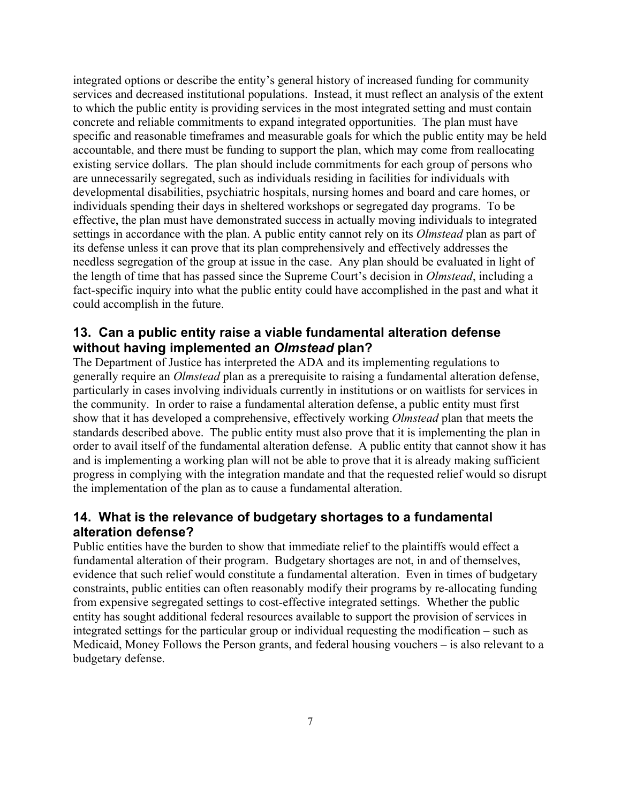integrated options or describe the entity's general history of increased funding for community services and decreased institutional populations. Instead, it must reflect an analysis of the extent to which the public entity is providing services in the most integrated setting and must contain concrete and reliable commitments to expand integrated opportunities. The plan must have specific and reasonable timeframes and measurable goals for which the public entity may be held accountable, and there must be funding to support the plan, which may come from reallocating existing service dollars. The plan should include commitments for each group of persons who are unnecessarily segregated, such as individuals residing in facilities for individuals with developmental disabilities, psychiatric hospitals, nursing homes and board and care homes, or individuals spending their days in sheltered workshops or segregated day programs. To be effective, the plan must have demonstrated success in actually moving individuals to integrated settings in accordance with the plan. A public entity cannot rely on its *Olmstead* plan as part of its defense unless it can prove that its plan comprehensively and effectively addresses the needless segregation of the group at issue in the case. Any plan should be evaluated in light of the length of time that has passed since the Supreme Court's decision in *Olmstead*, including a fact-specific inquiry into what the public entity could have accomplished in the past and what it could accomplish in the future.

### **13. Can a public entity raise a viable fundamental alteration defense without having implemented an** *Olmstead* **plan?**

The Department of Justice has interpreted the ADA and its implementing regulations to generally require an *Olmstead* plan as a prerequisite to raising a fundamental alteration defense, particularly in cases involving individuals currently in institutions or on waitlists for services in the community. In order to raise a fundamental alteration defense, a public entity must first show that it has developed a comprehensive, effectively working *Olmstead* plan that meets the standards described above. The public entity must also prove that it is implementing the plan in order to avail itself of the fundamental alteration defense. A public entity that cannot show it has and is implementing a working plan will not be able to prove that it is already making sufficient progress in complying with the integration mandate and that the requested relief would so disrupt the implementation of the plan as to cause a fundamental alteration.

# **14. What is the relevance of budgetary shortages to a fundamental alteration defense?**

Public entities have the burden to show that immediate relief to the plaintiffs would effect a fundamental alteration of their program. Budgetary shortages are not, in and of themselves, evidence that such relief would constitute a fundamental alteration. Even in times of budgetary constraints, public entities can often reasonably modify their programs by re-allocating funding from expensive segregated settings to cost-effective integrated settings. Whether the public entity has sought additional federal resources available to support the provision of services in integrated settings for the particular group or individual requesting the modification – such as Medicaid, Money Follows the Person grants, and federal housing vouchers – is also relevant to a budgetary defense.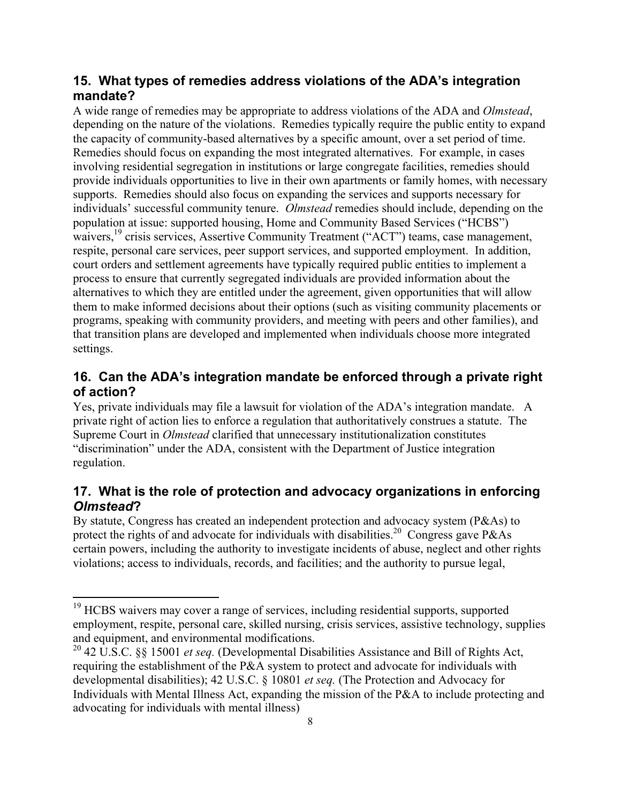### **15. What types of remedies address violations of the ADA's integration mandate?**

A wide range of remedies may be appropriate to address violations of the ADA and *Olmstead*, depending on the nature of the violations. Remedies typically require the public entity to expand the capacity of community-based alternatives by a specific amount, over a set period of time. Remedies should focus on expanding the most integrated alternatives. For example, in cases involving residential segregation in institutions or large congregate facilities, remedies should provide individuals opportunities to live in their own apartments or family homes, with necessary supports. Remedies should also focus on expanding the services and supports necessary for individuals' successful community tenure. *Olmstead* remedies should include, depending on the population at issue: supported housing, Home and Community Based Services ("HCBS") waivers,<sup>19</sup> crisis services, Assertive Community Treatment ("ACT") teams, case management, respite, personal care services, peer support services, and supported employment. In addition, court orders and settlement agreements have typically required public entities to implement a process to ensure that currently segregated individuals are provided information about the alternatives to which they are entitled under the agreement, given opportunities that will allow them to make informed decisions about their options (such as visiting community placements or programs, speaking with community providers, and meeting with peers and other families), and that transition plans are developed and implemented when individuals choose more integrated settings.

# **16. Can the ADA's integration mandate be enforced through a private right of action?**

Yes, private individuals may file a lawsuit for violation of the ADA's integration mandate. A private right of action lies to enforce a regulation that authoritatively construes a statute. The Supreme Court in *Olmstead* clarified that unnecessary institutionalization constitutes "discrimination" under the ADA, consistent with the Department of Justice integration regulation.

# **17. What is the role of protection and advocacy organizations in enforcing**  *Olmstead***?**

By statute, Congress has created an independent protection and advocacy system (P&As) to protect the rights of and advocate for individuals with disabilities.<sup>20</sup> Congress gave P&As certain powers, including the authority to investigate incidents of abuse, neglect and other rights violations; access to individuals, records, and facilities; and the authority to pursue legal,

<sup>&</sup>lt;sup>19</sup> HCBS waivers may cover a range of services, including residential supports, supported employment, respite, personal care, skilled nursing, crisis services, assistive technology, supplies and equipment, and environmental modifications.

<sup>20</sup> 42 U.S.C. §§ 15001 *et seq.* (Developmental Disabilities Assistance and Bill of Rights Act, requiring the establishment of the P&A system to protect and advocate for individuals with developmental disabilities); 42 U.S.C. § 10801 *et seq.* (The Protection and Advocacy for Individuals with Mental Illness Act, expanding the mission of the P&A to include protecting and advocating for individuals with mental illness)